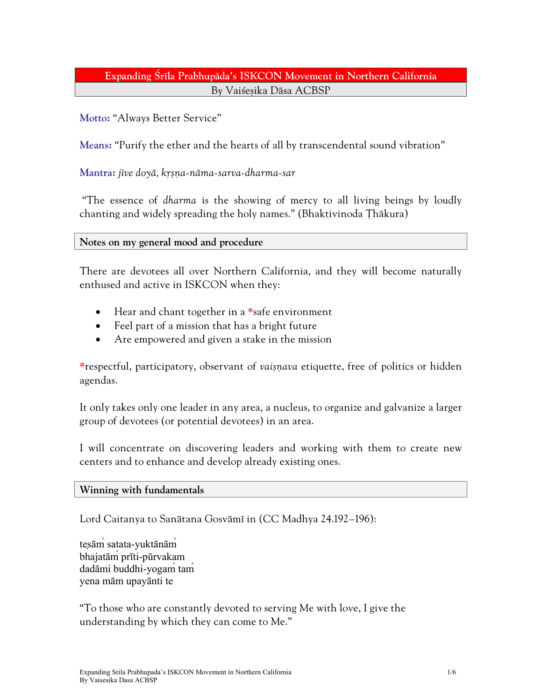# Expanding Śrīla Prabhupāda's ISKCON Movement in Northern California By Vaisesika Dāsa ACBSP

## **Motto:** "Always Better Service"

**Means:** "Purify the ether and the hearts of all by transcendental sound vibration"

### **Mantra:** *jéve doyä, kåñëa-näma-sarva-dharma-sar*

 "The essence of *dharma* is the showing of mercy to all living beings by loudly chanting and widely spreading the holy names." (Bhaktivinoda Thākura)

#### **Notes on my general mood and procedure**

There are devotees all over Northern California, and they will become naturally enthused and active in ISKCON when they:

- Hear and chant together in a **\***safe environment
- Feel part of a mission that has a bright future
- Are empowered and given a stake in the mission

**\***respectful, participatory, observant of *vaiñëava* etiquette, free of politics or hidden agendas.

It only takes only one leader in any area, a nucleus, to organize and galvanize a larger group of devotees (or potential devotees) in an area.

I will concentrate on discovering leaders and working with them to create new centers and to enhance and develop already existing ones.

#### **Winning with fundamentals**

Lord Caitanya to Sanātana Gosvāmī in [\(CC Madhya](http://caitanyacaritamrta.com/madhya/24/192/en) 24.192–196):

[tes](http://caitanyacaritamrta.com/t/tesam)ām [satata](http://caitanyacaritamrta.com/s/satata)[-yukt](http://caitanyacaritamrta.com/y/yuktanam)ānām [bhajat](http://caitanyacaritamrta.com/b/bhajatam)āḿ[pr](http://caitanyacaritamrta.com/p/priti)īti-pū[rvakam](http://caitanyacaritamrta.com/p/purvakam) [dad](http://caitanyacaritamrta.com/d/dadami)āmi [buddhi-](http://caitanyacaritamrta.com/b/buddhi)[yogam](http://caitanyacaritamrta.com/y/yogam)́[tam](http://caitanyacaritamrta.com/t/tam)́ [yena](http://caitanyacaritamrta.com/y/yena) mā[m](http://caitanyacaritamrta.com/m/mam) [upay](http://caitanyacaritamrta.com/u/upayanti)ānti [te](http://caitanyacaritamrta.com/t/te) 

"To those who are constantly devoted to serving Me with love, I give the understanding by which they can come to Me."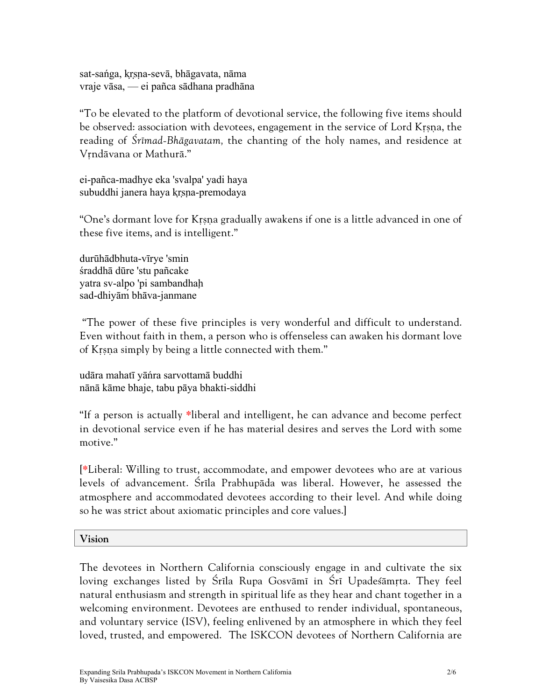sat-sań[ga,](http://caitanyacaritamrta.com/s/sanga) [kr](http://caitanyacaritamrta.com/k/krsna)sna-[sev](http://caitanyacaritamrta.com/s/seva)ā, bhā[gavata,](http://caitanyacaritamrta.com/b/bhagavata) nā[ma](http://caitanyacaritamrta.com/n/nama) [vraje](http://caitanyacaritamrta.com/v/vraje) vā[sa](http://caitanyacaritamrta.com/v/vasa), — [ei](http://caitanyacaritamrta.com/e/ei) [pañca](http://caitanyacaritamrta.com/p/panca) sā[dhana](http://caitanyacaritamrta.com/s/sadhana) [pradh](http://caitanyacaritamrta.com/p/pradhana)āna

"To be elevated to the platform of devotional service, the following five items should be observed: association with devotees, engagement in the service of Lord Krsna, the reading of *Çrémad-Bhägavatam,* the chanting of the holy names, and residence at Vrndāvana or Mathurā."

[ei-](http://caitanyacaritamrta.com/e/ei)[pañca-](http://caitanyacaritamrta.com/p/panca)[madhye](http://caitanyacaritamrta.com/m/madhye) [eka](http://caitanyacaritamrta.com/e/eka) '[svalpa](http://caitanyacaritamrta.com/s/svalpa)' [yadi](http://caitanyacaritamrta.com/y/yadi) [haya](http://caitanyacaritamrta.com/h/haya)  [subuddhi](http://caitanyacaritamrta.com/s/subuddhi) [janera](http://caitanyacaritamrta.com/j/janera) [haya](http://caitanyacaritamrta.com/h/haya) [kr](http://caitanyacaritamrta.com/k/krsna)sna-premodaya

"One's dormant love for Krsna gradually awakens if one is a little advanced in one of these five items, and is intelligent."

durūhādbhuta-vī[rye](http://caitanyacaritamrta.com/v/virye) 'smin ś[raddh](http://caitanyacaritamrta.com/s/sraddha)ā dū[re](http://caitanyacaritamrta.com/d/dure) 'stu [pañcake](http://caitanyacaritamrta.com/p/pancake)  [yatra](http://caitanyacaritamrta.com/y/yatra) [sv-](http://caitanyacaritamrta.com/s/sv)alpo 'pi [sambandhah](http://caitanyacaritamrta.com/s/sambandhah)̣ [sad](http://caitanyacaritamrta.com/s/sad)[-dhiy](http://caitanyacaritamrta.com/d/dhiyam)āḿ[bh](http://caitanyacaritamrta.com/b/bhava)āva-[janmane](http://caitanyacaritamrta.com/j/janmane) 

"The power of these five principles is very wonderful and difficult to understand. Even without faith in them, a person who is offenseless can awaken his dormant love of Krsna simply by being a little connected with them."

[ud](http://caitanyacaritamrta.com/u/udara)āra [mahat](http://caitanyacaritamrta.com/m/mahati)ī y[āń](http://caitanyacaritamrta.com/y/yanra)ra [sarvottam](http://caitanyacaritamrta.com/s/sarvottama)ā [buddhi](http://caitanyacaritamrta.com/b/buddhi)  nā[n](http://caitanyacaritamrta.com/n/nana)ā kā[me](http://caitanyacaritamrta.com/k/kame) [bhaje,](http://caitanyacaritamrta.com/b/bhaje) [tabu](http://caitanyacaritamrta.com/t/tabu) pā[ya](http://caitanyacaritamrta.com/p/paya) [bhakti-](http://caitanyacaritamrta.com/b/bhakti)[siddhi](http://caitanyacaritamrta.com/s/siddhi) 

"If a person is actually **\***liberal and intelligent, he can advance and become perfect in devotional service even if he has material desires and serves the Lord with some motive."

[**\***Liberal: Willing to trust, accommodate, and empower devotees who are at various levels of advancement. Śrīla Prabhupāda was liberal. However, he assessed the atmosphere and accommodated devotees according to their level. And while doing so he was strict about axiomatic principles and core values.]

**Vision** 

The devotees in Northern California consciously engage in and cultivate the six loving exchanges listed by Śrīla Rupa Gosvāmī in Śrī Upadeśāmrta. They feel natural enthusiasm and strength in spiritual life as they hear and chant together in a welcoming environment. Devotees are enthused to render individual, spontaneous, and voluntary service (ISV), feeling enlivened by an atmosphere in which they feel loved, trusted, and empowered. The ISKCON devotees of Northern California are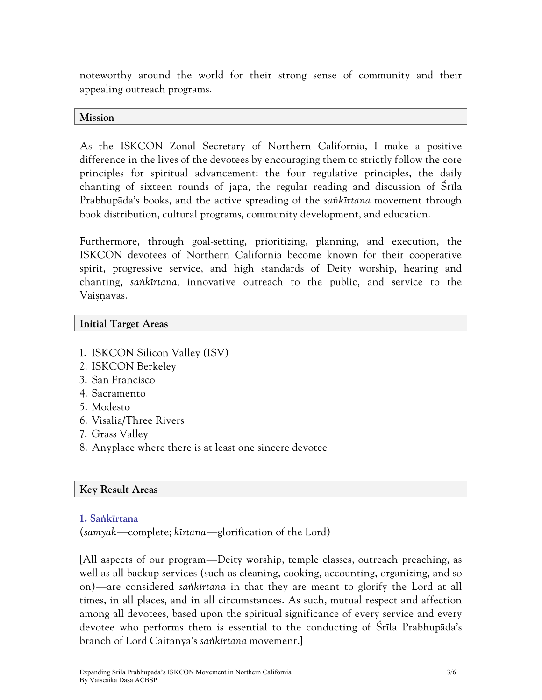noteworthy around the world for their strong sense of community and their appealing outreach programs.

### **Mission**

As the ISKCON Zonal Secretary of Northern California, I make a positive difference in the lives of the devotees by encouraging them to strictly follow the core principles for spiritual advancement: the four regulative principles, the daily chanting of sixteen rounds of japa, the regular reading and discussion of Srila Prabhupäda's books, and the active spreading of the *saìkértana* movement through book distribution, cultural programs, community development, and education.

Furthermore, through goal-setting, prioritizing, planning, and execution, the ISKCON devotees of Northern California become known for their cooperative spirit, progressive service, and high standards of Deity worship, hearing and chanting, *saìkértana,* innovative outreach to the public, and service to the Vaisnavas.

## **Initial Target Areas**

- 1. ISKCON Silicon Valley (ISV)
- 2. ISKCON Berkeley
- 3. San Francisco
- 4. Sacramento
- 5. Modesto
- 6. Visalia/Three Rivers
- 7. Grass Valley
- 8. Anyplace where there is at least one sincere devotee

## **Key Result Areas**

### **1. Saìkértana**

(*samyak*—complete; *kértana*—glorification of the Lord)

[All aspects of our program—Deity worship, temple classes, outreach preaching, as well as all backup services (such as cleaning, cooking, accounting, organizing, and so on)—are considered *saìkértana* in that they are meant to glorify the Lord at all times, in all places, and in all circumstances. As such, mutual respect and affection among all devotees, based upon the spiritual significance of every service and every devotee who performs them is essential to the conducting of Śrīla Prabhupāda's branch of Lord Caitanya's *saìkértana* movement.]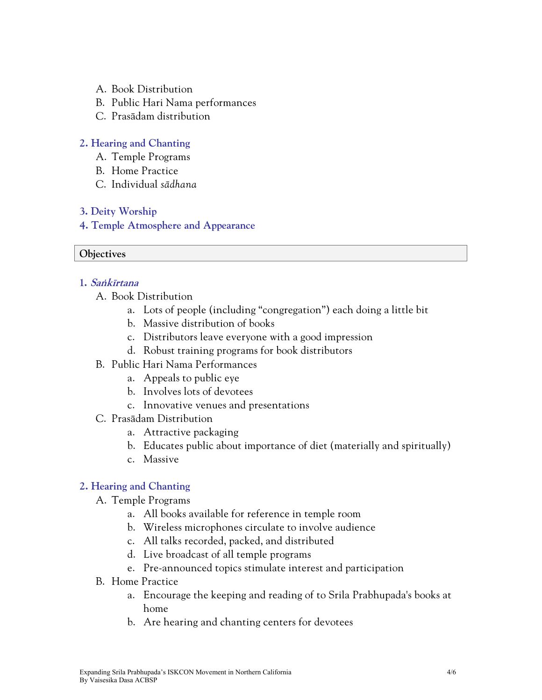- A. Book Distribution
- B. Public Hari Nama performances
- C. Prasädam distribution

## **2. Hearing and Chanting**

- A. Temple Programs
- B. Home Practice
- C. Individual *sädhana*

## **3. Deity Worship**

**4. Temple Atmosphere and Appearance**

#### **Objectives**

### **1. Saìkértana**

- A. Book Distribution
	- a. Lots of people (including "congregation") each doing a little bit
	- b. Massive distribution of books
	- c. Distributors leave everyone with a good impression
	- d. Robust training programs for book distributors
- B. Public Hari Nama Performances
	- a. Appeals to public eye
	- b. Involves lots of devotees
	- c. Innovative venues and presentations
- C. Prasädam Distribution
	- a. Attractive packaging
	- b. Educates public about importance of diet (materially and spiritually)
	- c. Massive

## **2. Hearing and Chanting**

- A. Temple Programs
	- a. All books available for reference in temple room
	- b. Wireless microphones circulate to involve audience
	- c. All talks recorded, packed, and distributed
	- d. Live broadcast of all temple programs
	- e. Pre-announced topics stimulate interest and participation
- B. Home Practice
	- a. Encourage the keeping and reading of to Srila Prabhupada's books at home
	- b. Are hearing and chanting centers for devotees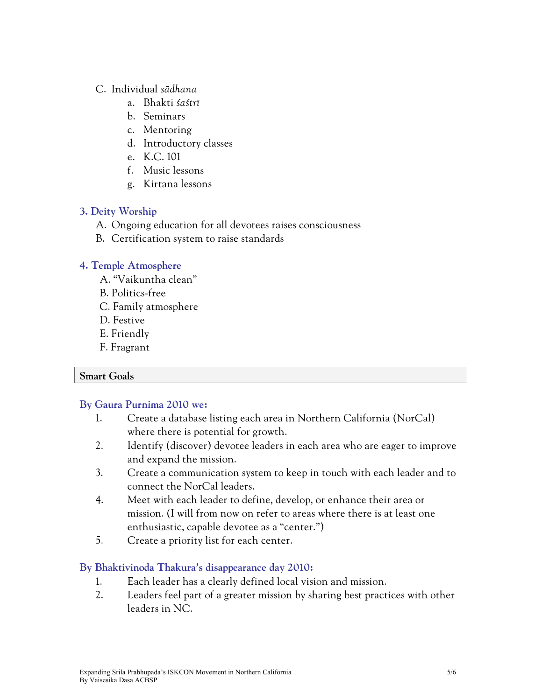## C. Individual *sädhana*

- a. Bhakti *çaçtré*
- b. Seminars
- c. Mentoring
- d. Introductory classes
- e. K.C. 101
- f. Music lessons
- g. Kirtana lessons

## **3. Deity Worship**

- A. Ongoing education for all devotees raises consciousness
- B. Certification system to raise standards

## **4. Temple Atmosphere**

- A. "Vaikuntha clean"
- B. Politics-free
- C. Family atmosphere
- D. Festive
- E. Friendly
- F. Fragrant

## **Smart Goals**

# **By Gaura Purnima 2010 we:**

- 1. Create a database listing each area in Northern California (NorCal) where there is potential for growth.
- 2. Identify (discover) devotee leaders in each area who are eager to improve and expand the mission.
- 3. Create a communication system to keep in touch with each leader and to connect the NorCal leaders.
- 4. Meet with each leader to define, develop, or enhance their area or mission. (I will from now on refer to areas where there is at least one enthusiastic, capable devotee as a "center.")
- 5. Create a priority list for each center.

# **By Bhaktivinoda Thakura's disappearance day 2010:**

- 1. Each leader has a clearly defined local vision and mission.
- 2. Leaders feel part of a greater mission by sharing best practices with other leaders in NC.